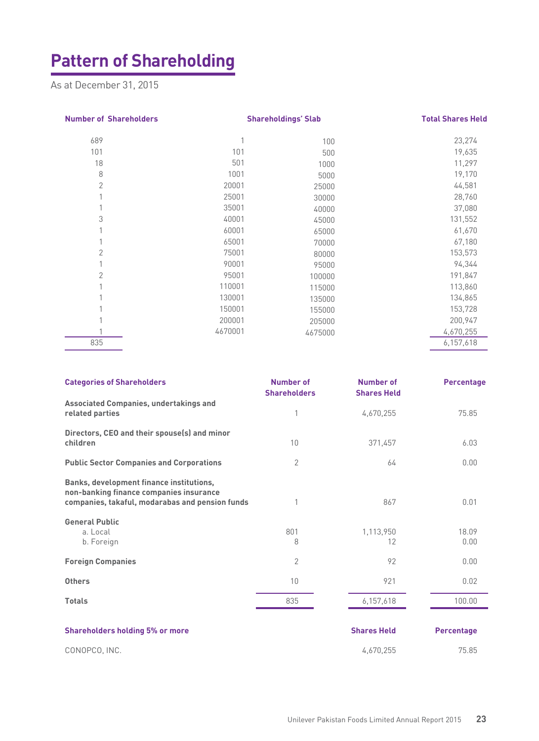## **Pattern of Shareholding**

As at December 31, 2015

| <b>Number of Shareholders</b> | <b>Shareholdings' Slab</b> |         |           |  | <b>Total Shares Held</b> |
|-------------------------------|----------------------------|---------|-----------|--|--------------------------|
| 689                           | 1                          | 100     | 23,274    |  |                          |
| 101                           | 101                        | 500     | 19,635    |  |                          |
| 18                            | 501                        | 1000    | 11,297    |  |                          |
| 8                             | 1001                       | 5000    | 19,170    |  |                          |
| $\overline{2}$                | 20001                      | 25000   | 44,581    |  |                          |
|                               | 25001                      | 30000   | 28,760    |  |                          |
|                               | 35001                      | 40000   | 37,080    |  |                          |
| 3                             | 40001                      | 45000   | 131,552   |  |                          |
|                               | 60001                      | 65000   | 61,670    |  |                          |
|                               | 65001                      | 70000   | 67,180    |  |                          |
| $\overline{2}$                | 75001                      | 80000   | 153,573   |  |                          |
|                               | 90001                      | 95000   | 94,344    |  |                          |
| $\overline{2}$                | 95001                      | 100000  | 191,847   |  |                          |
|                               | 110001                     | 115000  | 113,860   |  |                          |
|                               | 130001                     | 135000  | 134,865   |  |                          |
|                               | 150001                     | 155000  | 153,728   |  |                          |
|                               | 200001                     | 205000  | 200,947   |  |                          |
|                               | 4670001                    | 4675000 | 4,670,255 |  |                          |
| 835                           |                            |         | 6,157,618 |  |                          |
|                               |                            |         |           |  |                          |

| <b>Categories of Shareholders</b>                                                                                                      | Number of<br><b>Shareholders</b> | <b>Number of</b><br><b>Shares Held</b> | <b>Percentage</b> |
|----------------------------------------------------------------------------------------------------------------------------------------|----------------------------------|----------------------------------------|-------------------|
| Associated Companies, undertakings and<br>related parties                                                                              | 1                                | 4,670,255                              | 75.85             |
| Directors, CEO and their spouse(s) and minor<br>children                                                                               | 10                               | 371,457                                | 6.03              |
| <b>Public Sector Companies and Corporations</b>                                                                                        | $\overline{2}$                   | 64                                     | 0.00              |
| Banks, development finance institutions,<br>non-banking finance companies insurance<br>companies, takaful, modarabas and pension funds |                                  | 867                                    | 0.01              |
| <b>General Public</b><br>a. Local<br>b. Foreign                                                                                        | 801<br>8                         | 1,113,950<br>12                        | 18.09<br>0.00     |
| <b>Foreign Companies</b>                                                                                                               | $\overline{2}$                   | 92                                     | 0.00              |
| <b>Others</b>                                                                                                                          | 10                               | 921                                    | 0.02              |
| <b>Totals</b>                                                                                                                          | 835                              | 6,157,618                              | 100.00            |
| <b>Shareholders holding 5% or more</b>                                                                                                 |                                  | <b>Shares Held</b>                     | <b>Percentage</b> |
| CONOPCO, INC.                                                                                                                          |                                  | 4.670.255                              | 75.85             |